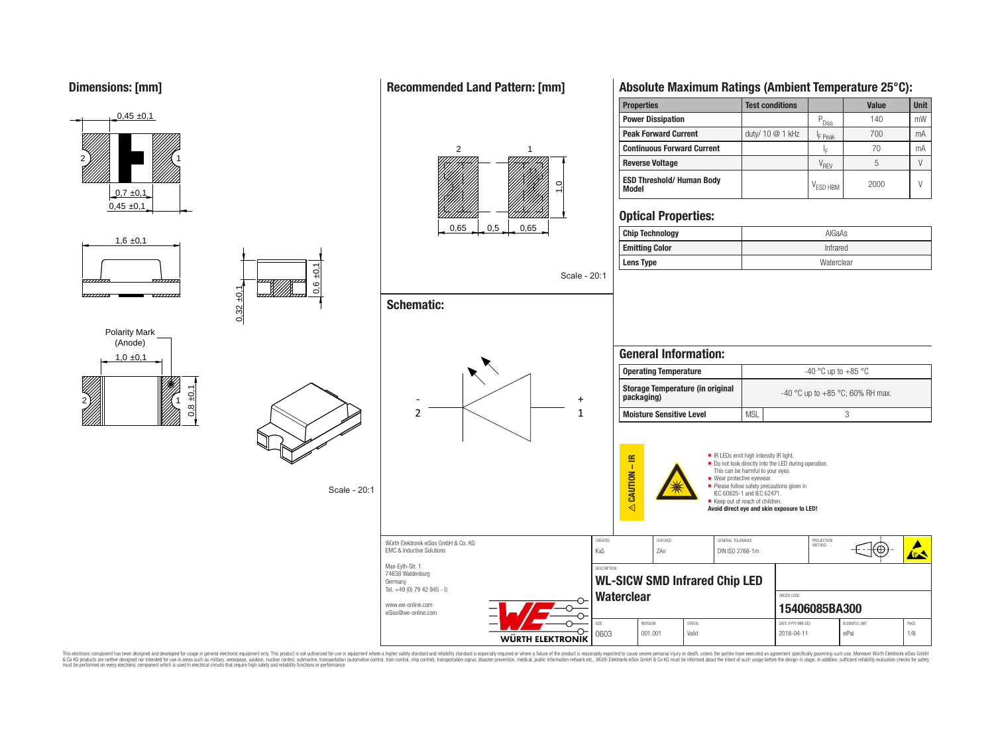











Würth Elektronik eiSos GmbH & Co. KG

Germany

**Schematic:**

0,6 ±0,1

Scale - 20:1

 $0,32 \pm 0,1$ 



## **Absolute Maximum Ratings (Ambient Temperature 25°C):**

| <b>Properties</b>                                | <b>Test conditions</b> |                      | Value | <b>Unit</b> |
|--------------------------------------------------|------------------------|----------------------|-------|-------------|
| <b>Power Dissipation</b>                         |                        | $P_{\text{Diss}}$    | 140   | mW          |
| <b>Peak Forward Current</b>                      | duty/ 10 @ 1 kHz       | <sup>I</sup> F Peak  | 700   | mA          |
| <b>Continuous Forward Current</b>                |                        | 1E                   | 70    | mA          |
| <b>Reverse Voltage</b>                           |                        | V <sub>REV</sub>     |       |             |
| <b>ESD Threshold/ Human Body</b><br><b>Model</b> |                        | V <sub>FSD HBM</sub> | 2000  | V           |

## **Optical Properties:**

| <b>Chip Technology</b> | AlGaAs     |
|------------------------|------------|
| <b>Emitting Color</b>  | Infrared   |
| <b>Lens Type</b>       | Waterclear |

| <b>General Information:</b>                           |            |                                  |  |  |  |  |
|-------------------------------------------------------|------------|----------------------------------|--|--|--|--|
| <b>Operating Temperature</b>                          |            | $-40$ °C up to $+85$ °C          |  |  |  |  |
| <b>Storage Temperature (in original</b><br>packaging) |            | -40 °C up to +85 °C; 60% RH max. |  |  |  |  |
| <b>Moisture Sensitive Level</b>                       | <b>MSL</b> |                                  |  |  |  |  |



⊕ EMC & Inductive Solutions Max-Eyth-Str. 1 DESCRIPTION 74638 Waldenburg **WL-SICW SMD Infrared Chip LED** Tel. +49 (0) 79 42 945 - 0 Waterclear **CONDER CODER CODER CODER CODER** www.we-online.com **15406085BA300** eiSos@we-online.com SIZE REVISION STATUS DATE (YYYY-MM-DD) BUSINESS UNIT PAGE ᢕ 0603 | 001.001 | Valid | 2018-04-11 | eiPal | 1/8 WÜRTH ELEKTRONIK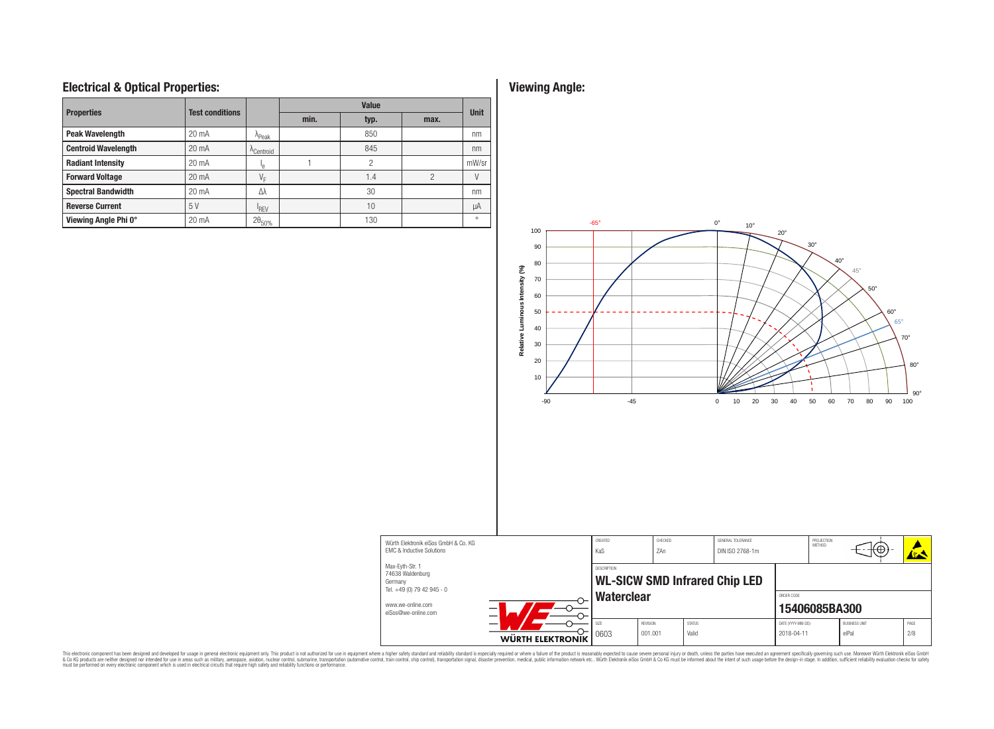## **Electrical & Optical Properties: Viewing Angle:**

| <b>Properties</b>          | <b>Test conditions</b> |                       |      |      | <b>Unit</b>   |         |
|----------------------------|------------------------|-----------------------|------|------|---------------|---------|
|                            |                        |                       | min. | typ. | max.          |         |
| <b>Peak Wavelength</b>     | $20 \text{ mA}$        | A <sub>Peak</sub>     |      | 850  |               | nm      |
| <b>Centroid Wavelength</b> | 20 mA                  | <sup>A</sup> Centroid |      | 845  |               | nm      |
| <b>Radiant Intensity</b>   | 20 mA                  | ٠e                    |      | 2    |               | mW/sr   |
| <b>Forward Voltage</b>     | $20 \text{ mA}$        | $V_{E}$               |      | 1.4  | $\mathcal{P}$ |         |
| <b>Spectral Bandwidth</b>  | 20 mA                  | Λλ                    |      | 30   |               | nm      |
| <b>Reverse Current</b>     | 5V                     | <sup>I</sup> RFV      |      | 10   |               | μA      |
| Viewing Angle Phi 0°       | 20 mA                  | $2\theta_{50\%}$      |      | 130  |               | $\circ$ |



This electronic component has been designed and developed for usage in general electronic equipment only. This product is not authorized for subserved requipment where a higher selection equipment where a higher selection

EMC & Inductive Solutions Max-Eyth-Str. 1 74638 Waldenburg Germany

www.we-online.com eiSos@we-online.com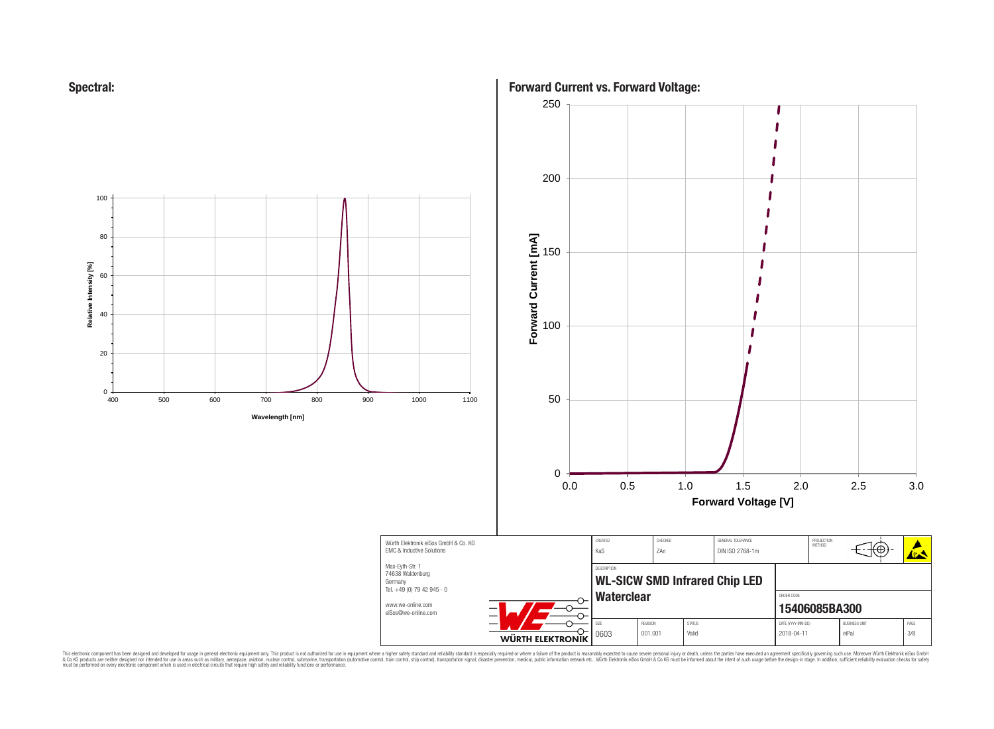



**Forward Current vs. Forward Voltage:**

◢

Ag A

⊕

250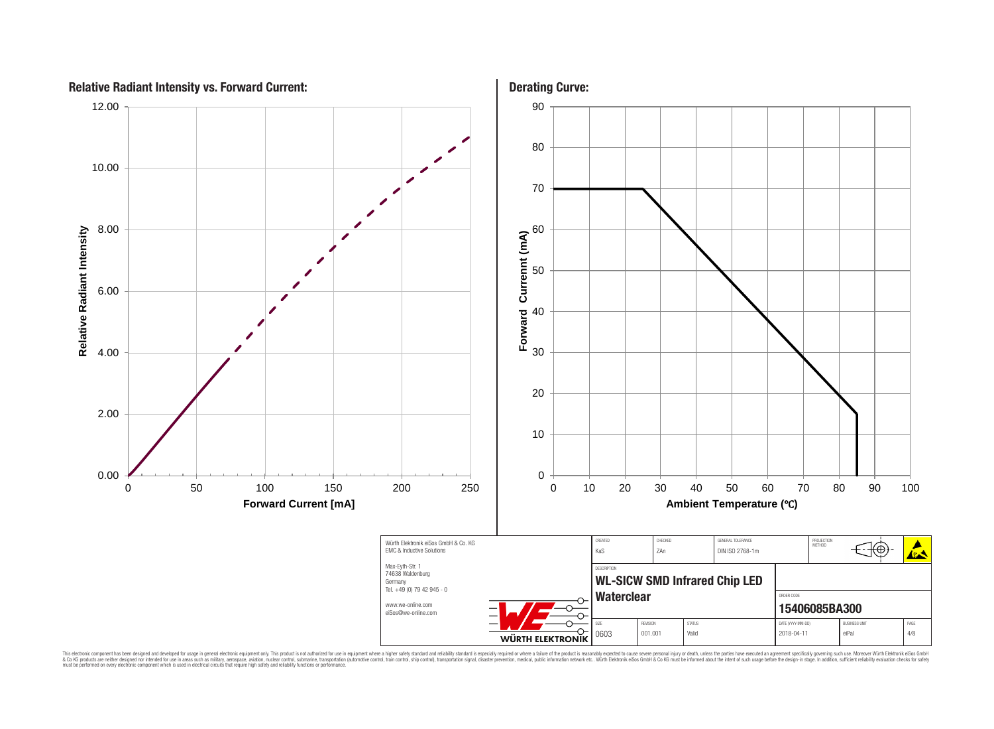

This electronic component has been designed and developed for usage in general electronic equipment only. This product is not authorized for subserved requipment where a higher selection equipment where a higher selection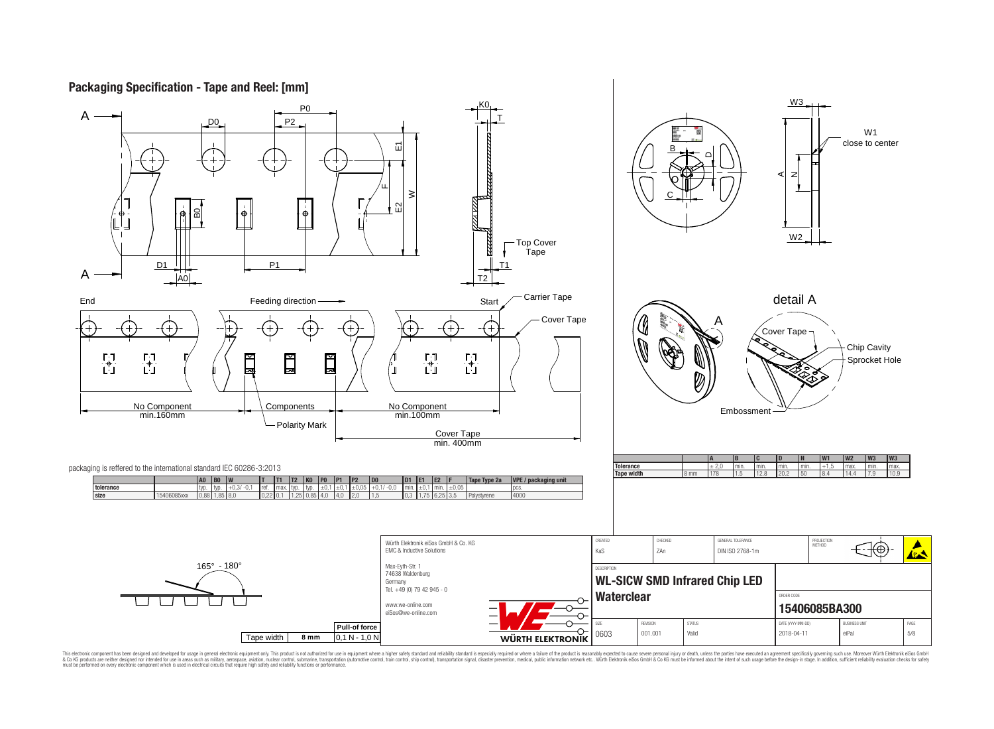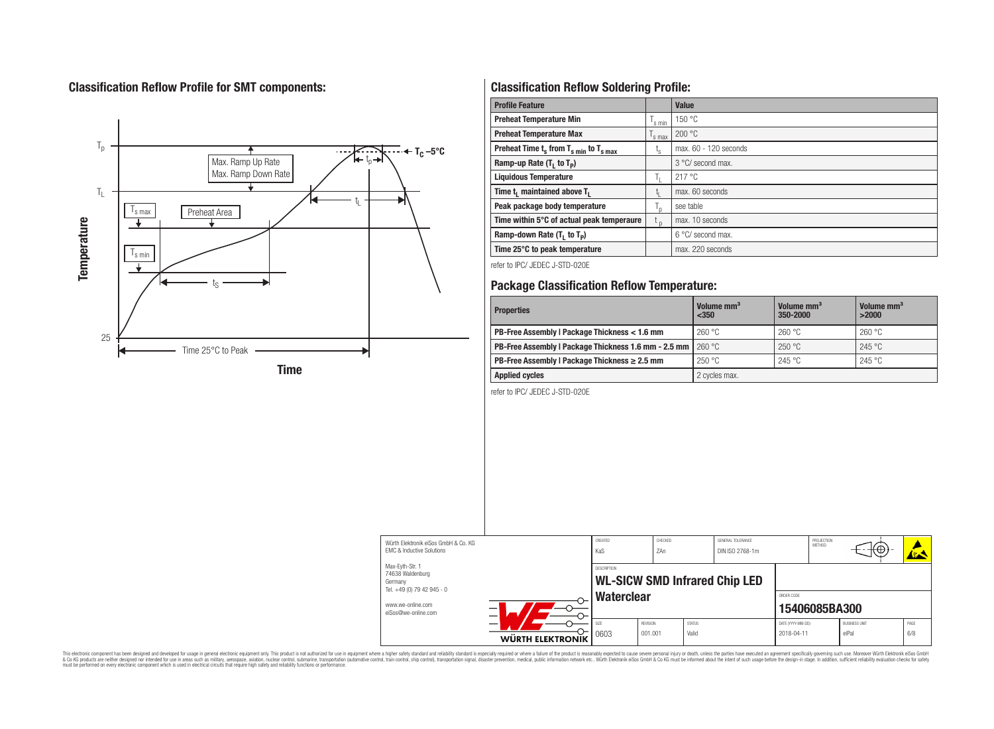## **Classification Reflow Profile for SMT components:**



# **Classification Reflow Soldering Profile:**

| <b>Profile Feature</b>                                               |                | <b>Value</b>               |
|----------------------------------------------------------------------|----------------|----------------------------|
| <b>Preheat Temperature Min</b>                                       | 's min         | 150 °C                     |
| <b>Preheat Temperature Max</b><br>s max                              |                | 200 °C                     |
| Preheat Time $t_s$ from $T_s$ <sub>min</sub> to $T_s$ <sub>max</sub> | ι <sub>s</sub> | max. 60 - 120 seconds      |
| Ramp-up Rate $(T_1$ to $T_p$ )                                       |                | 3 °C/ second max.          |
| <b>Liquidous Temperature</b>                                         |                | 217 °C                     |
| Time t <sub>1</sub> maintained above T <sub>1</sub>                  |                | max. 60 seconds            |
| Peak package body temperature                                        |                | see table                  |
| Time within 5°C of actual peak temperaure                            | $t_{p}$        | max. 10 seconds            |
| Ramp-down Rate $(T_1$ to $T_p$ )                                     |                | $6^{\circ}$ C/ second max. |
| Time 25°C to peak temperature                                        |                | max. 220 seconds           |

refer to IPC/ JEDEC J-STD-020E

## **Package Classification Reflow Temperature:**

| <b>Properties</b>                                    | Volume mm <sup>3</sup><br>$<$ 350 | Volume mm <sup>3</sup><br>350-2000 | Volume mm <sup>3</sup><br>>2000 |
|------------------------------------------------------|-----------------------------------|------------------------------------|---------------------------------|
| PB-Free Assembly   Package Thickness < 1.6 mm        | 260 °C                            | 260 °C                             | 260 °C                          |
| PB-Free Assembly   Package Thickness 1.6 mm - 2.5 mm | 260 °C                            | 250 °C                             | 245 °C                          |
| PB-Free Assembly   Package Thickness $\geq 2.5$ mm   | 250 °C                            | 245 °C                             | 245 °C                          |
| <b>Applied cycles</b>                                | 2 cycles max.                     |                                    |                                 |

refer to IPC/ JEDEC J-STD-020E

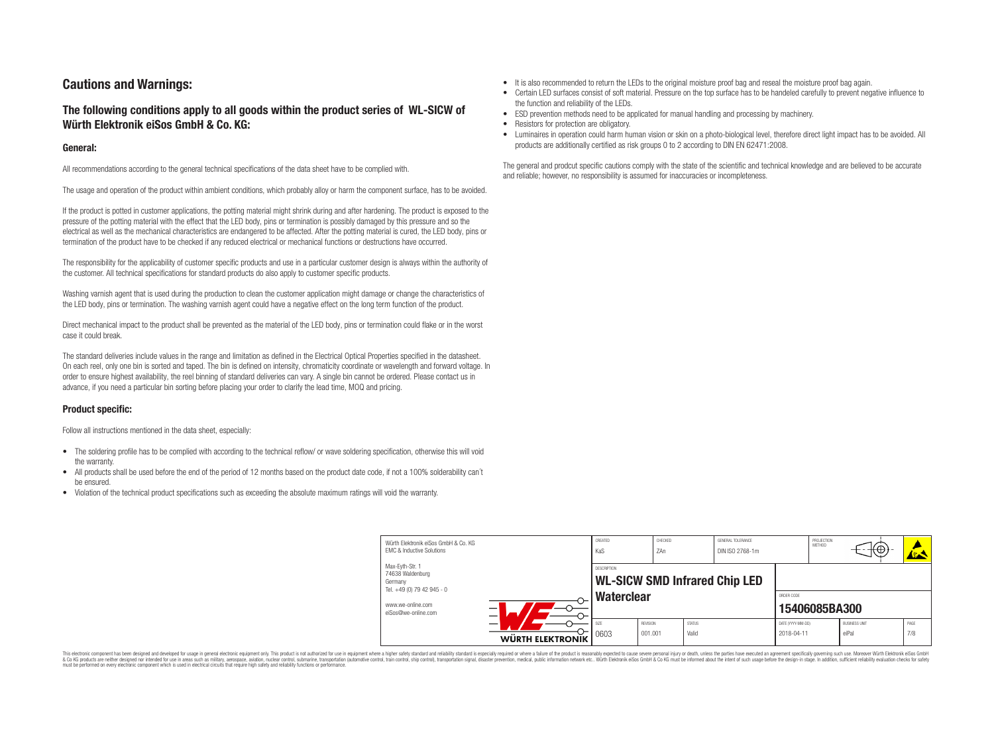## **Cautions and Warnings:**

## **The following conditions apply to all goods within the product series of WL-SICW of Würth Elektronik eiSos GmbH & Co. KG:**

#### **General:**

All recommendations according to the general technical specifications of the data sheet have to be complied with.

The usage and operation of the product within ambient conditions, which probably alloy or harm the component surface, has to be avoided.

If the product is potted in customer applications, the potting material might shrink during and after hardening. The product is exposed to the pressure of the potting material with the effect that the LED body, pins or termination is possibly damaged by this pressure and so the electrical as well as the mechanical characteristics are endangered to be affected. After the potting material is cured, the LED body, pins or termination of the product have to be checked if any reduced electrical or mechanical functions or destructions have occurred.

The responsibility for the applicability of customer specific products and use in a particular customer design is always within the authority of the customer. All technical specifications for standard products do also apply to customer specific products.

Washing varnish agent that is used during the production to clean the customer application might damage or change the characteristics of the LED body, pins or termination. The washing varnish agent could have a negative effect on the long term function of the product.

Direct mechanical impact to the product shall be prevented as the material of the LED body, pins or termination could flake or in the worst case it could break.

The standard deliveries include values in the range and limitation as defined in the Electrical Optical Properties specified in the datasheet. On each reel, only one bin is sorted and taped. The bin is defined on intensity, chromaticity coordinate or wavelength and forward voltage. In order to ensure highest availability, the reel binning of standard deliveries can vary. A single bin cannot be ordered. Please contact us in advance, if you need a particular bin sorting before placing your order to clarify the lead time, MOQ and pricing.

## **Product specific:**

Follow all instructions mentioned in the data sheet, especially:

- The soldering profile has to be complied with according to the technical reflow/ or wave soldering specification, otherwise this will void the warranty.
- All products shall be used before the end of the period of 12 months based on the product date code, if not a 100% solderability can't be ensured.
- Violation of the technical product specifications such as exceeding the absolute maximum ratings will void the warranty.
- It is also recommended to return the LEDs to the original moisture proof bag and reseal the moisture proof bag again.
- Certain LED surfaces consist of soft material. Pressure on the top surface has to be handeled carefully to prevent negative influence to the function and reliability of the LEDs.
- ESD prevention methods need to be applicated for manual handling and processing by machinery.
- Resistors for protection are obligatory.
- Luminaires in operation could harm human vision or skin on a photo-biological level, therefore direct light impact has to be avoided. All products are additionally certified as risk groups 0 to 2 according to DIN EN 62471:2008.

The general and prodcut specific cautions comply with the state of the scientific and technical knowledge and are believed to be accurate and reliable; however, no responsibility is assumed for inaccuracies or incompleteness.

| Würth Elektronik eiSos GmbH & Co. KG<br>EMC & Inductive Solutions<br>Max-Eyth-Str. 1 | CREATED<br>KaS                                                           | CHECKED<br>7An |               | GENERAL TOLERANCE<br>DIN ISO 2768-1m |                                    | PROJECTION<br>METHOD | ₩⊕,                  |      |
|--------------------------------------------------------------------------------------|--------------------------------------------------------------------------|----------------|---------------|--------------------------------------|------------------------------------|----------------------|----------------------|------|
| 74638 Waldenburg<br>Germany<br>Tel. +49 (0) 79 42 945 - 0<br>www.we-online.com       | DESCRIPTION<br><b>WL-SICW SMD Infrared Chip LED</b><br><b>Waterclear</b> |                |               |                                      | ORDER CODE                         |                      |                      |      |
| —<br>eiSos@we-online.com<br>—                                                        | SI <sub>7</sub> F                                                        | REVISION       | <b>STATUS</b> |                                      | 15406085BA300<br>DATE (YYYY-MM-DD) |                      | <b>BUSINESS UNIT</b> | PAGE |
| WÜRTH ELEKTRONIK                                                                     | 0603                                                                     | 001.001        | Valid         |                                      | 2018-04-11                         |                      | eiPal                | 7/8  |

This electronic component has been designed and developed for usage in general electronic equipment only. This product is not authorized for use in equipment where a higher safety standard and reliability standard si espec & Ook product a label and the membed of the seasuch as marked and as which such a membed and the such assume that income in the seasuch and the simulation and the such assume that include to the such a membed and the such